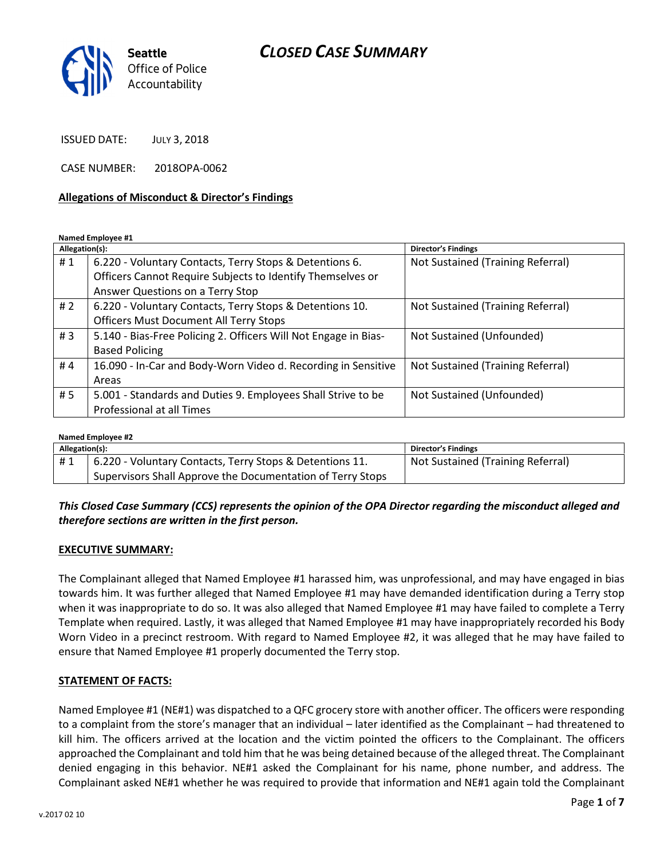## CLOSED CASE SUMMARY



ISSUED DATE: JULY 3, 2018

CASE NUMBER: 2018OPA-0062

#### Allegations of Misconduct & Director's Findings

Named Employee #1

| Allegation(s): |                                                                 | <b>Director's Findings</b>        |
|----------------|-----------------------------------------------------------------|-----------------------------------|
| #1             | 6.220 - Voluntary Contacts, Terry Stops & Detentions 6.         | Not Sustained (Training Referral) |
|                | Officers Cannot Require Subjects to Identify Themselves or      |                                   |
|                | Answer Questions on a Terry Stop                                |                                   |
| # $2$          | 6.220 - Voluntary Contacts, Terry Stops & Detentions 10.        | Not Sustained (Training Referral) |
|                | <b>Officers Must Document All Terry Stops</b>                   |                                   |
| #3             | 5.140 - Bias-Free Policing 2. Officers Will Not Engage in Bias- | Not Sustained (Unfounded)         |
|                | <b>Based Policing</b>                                           |                                   |
| #4             | 16.090 - In-Car and Body-Worn Video d. Recording in Sensitive   | Not Sustained (Training Referral) |
|                | Areas                                                           |                                   |
| # 5            | 5.001 - Standards and Duties 9. Employees Shall Strive to be    | Not Sustained (Unfounded)         |
|                | Professional at all Times                                       |                                   |

#### Named Employee #2

| Allegation(s): |                                                            | <b>Director's Findings</b>        |
|----------------|------------------------------------------------------------|-----------------------------------|
| #1             | 6.220 - Voluntary Contacts, Terry Stops & Detentions 11.   | Not Sustained (Training Referral) |
|                | Supervisors Shall Approve the Documentation of Terry Stops |                                   |

This Closed Case Summary (CCS) represents the opinion of the OPA Director regarding the misconduct alleged and therefore sections are written in the first person.

#### EXECUTIVE SUMMARY:

The Complainant alleged that Named Employee #1 harassed him, was unprofessional, and may have engaged in bias towards him. It was further alleged that Named Employee #1 may have demanded identification during a Terry stop when it was inappropriate to do so. It was also alleged that Named Employee #1 may have failed to complete a Terry Template when required. Lastly, it was alleged that Named Employee #1 may have inappropriately recorded his Body Worn Video in a precinct restroom. With regard to Named Employee #2, it was alleged that he may have failed to ensure that Named Employee #1 properly documented the Terry stop.

#### STATEMENT OF FACTS:

Named Employee #1 (NE#1) was dispatched to a QFC grocery store with another officer. The officers were responding to a complaint from the store's manager that an individual – later identified as the Complainant – had threatened to kill him. The officers arrived at the location and the victim pointed the officers to the Complainant. The officers approached the Complainant and told him that he was being detained because of the alleged threat. The Complainant denied engaging in this behavior. NE#1 asked the Complainant for his name, phone number, and address. The Complainant asked NE#1 whether he was required to provide that information and NE#1 again told the Complainant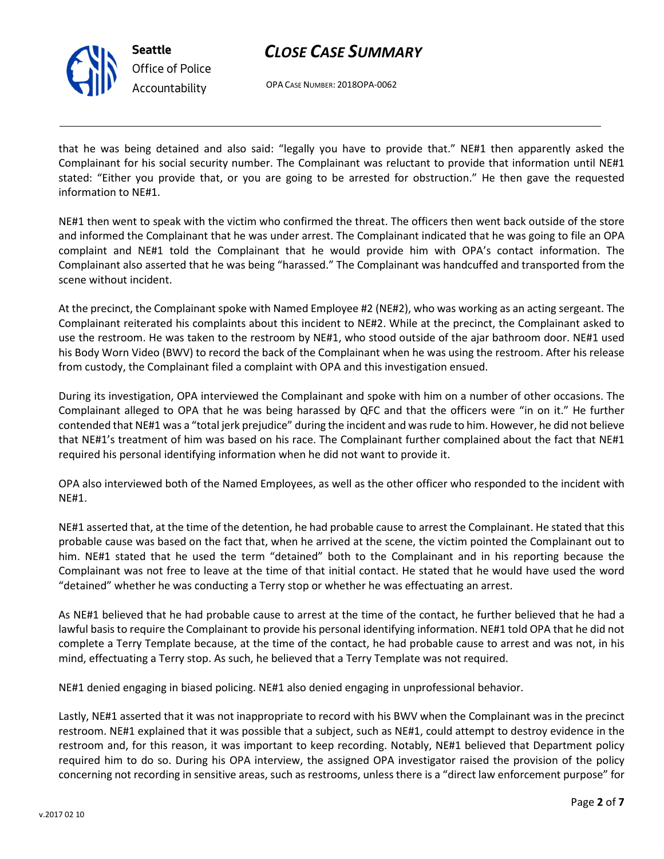



OPA CASE NUMBER: 2018OPA-0062

that he was being detained and also said: "legally you have to provide that." NE#1 then apparently asked the Complainant for his social security number. The Complainant was reluctant to provide that information until NE#1 stated: "Either you provide that, or you are going to be arrested for obstruction." He then gave the requested information to NE#1.

NE#1 then went to speak with the victim who confirmed the threat. The officers then went back outside of the store and informed the Complainant that he was under arrest. The Complainant indicated that he was going to file an OPA complaint and NE#1 told the Complainant that he would provide him with OPA's contact information. The Complainant also asserted that he was being "harassed." The Complainant was handcuffed and transported from the scene without incident.

At the precinct, the Complainant spoke with Named Employee #2 (NE#2), who was working as an acting sergeant. The Complainant reiterated his complaints about this incident to NE#2. While at the precinct, the Complainant asked to use the restroom. He was taken to the restroom by NE#1, who stood outside of the ajar bathroom door. NE#1 used his Body Worn Video (BWV) to record the back of the Complainant when he was using the restroom. After his release from custody, the Complainant filed a complaint with OPA and this investigation ensued.

During its investigation, OPA interviewed the Complainant and spoke with him on a number of other occasions. The Complainant alleged to OPA that he was being harassed by QFC and that the officers were "in on it." He further contended that NE#1 was a "total jerk prejudice" during the incident and was rude to him. However, he did not believe that NE#1's treatment of him was based on his race. The Complainant further complained about the fact that NE#1 required his personal identifying information when he did not want to provide it.

OPA also interviewed both of the Named Employees, as well as the other officer who responded to the incident with NE#1.

NE#1 asserted that, at the time of the detention, he had probable cause to arrest the Complainant. He stated that this probable cause was based on the fact that, when he arrived at the scene, the victim pointed the Complainant out to him. NE#1 stated that he used the term "detained" both to the Complainant and in his reporting because the Complainant was not free to leave at the time of that initial contact. He stated that he would have used the word "detained" whether he was conducting a Terry stop or whether he was effectuating an arrest.

As NE#1 believed that he had probable cause to arrest at the time of the contact, he further believed that he had a lawful basis to require the Complainant to provide his personal identifying information. NE#1 told OPA that he did not complete a Terry Template because, at the time of the contact, he had probable cause to arrest and was not, in his mind, effectuating a Terry stop. As such, he believed that a Terry Template was not required.

NE#1 denied engaging in biased policing. NE#1 also denied engaging in unprofessional behavior.

Lastly, NE#1 asserted that it was not inappropriate to record with his BWV when the Complainant was in the precinct restroom. NE#1 explained that it was possible that a subject, such as NE#1, could attempt to destroy evidence in the restroom and, for this reason, it was important to keep recording. Notably, NE#1 believed that Department policy required him to do so. During his OPA interview, the assigned OPA investigator raised the provision of the policy concerning not recording in sensitive areas, such as restrooms, unless there is a "direct law enforcement purpose" for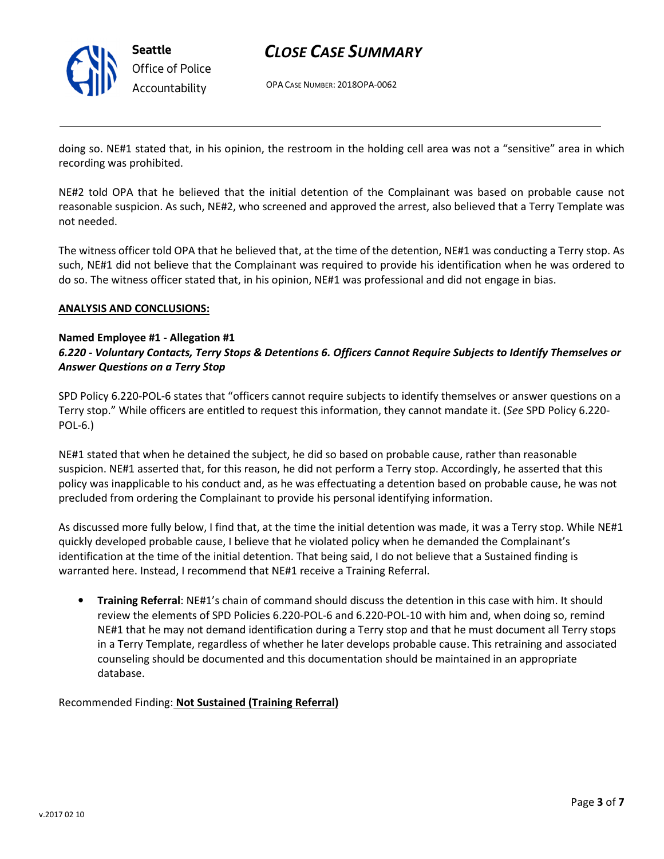

Seattle Office of Police Accountability

## CLOSE CASE SUMMARY

OPA CASE NUMBER: 2018OPA-0062

doing so. NE#1 stated that, in his opinion, the restroom in the holding cell area was not a "sensitive" area in which recording was prohibited.

NE#2 told OPA that he believed that the initial detention of the Complainant was based on probable cause not reasonable suspicion. As such, NE#2, who screened and approved the arrest, also believed that a Terry Template was not needed.

The witness officer told OPA that he believed that, at the time of the detention, NE#1 was conducting a Terry stop. As such, NE#1 did not believe that the Complainant was required to provide his identification when he was ordered to do so. The witness officer stated that, in his opinion, NE#1 was professional and did not engage in bias.

#### ANALYSIS AND CONCLUSIONS:

#### Named Employee #1 - Allegation #1

### 6.220 - Voluntary Contacts, Terry Stops & Detentions 6. Officers Cannot Require Subjects to Identify Themselves or Answer Questions on a Terry Stop

SPD Policy 6.220-POL-6 states that "officers cannot require subjects to identify themselves or answer questions on a Terry stop." While officers are entitled to request this information, they cannot mandate it. (See SPD Policy 6.220- POL-6.)

NE#1 stated that when he detained the subject, he did so based on probable cause, rather than reasonable suspicion. NE#1 asserted that, for this reason, he did not perform a Terry stop. Accordingly, he asserted that this policy was inapplicable to his conduct and, as he was effectuating a detention based on probable cause, he was not precluded from ordering the Complainant to provide his personal identifying information.

As discussed more fully below, I find that, at the time the initial detention was made, it was a Terry stop. While NE#1 quickly developed probable cause, I believe that he violated policy when he demanded the Complainant's identification at the time of the initial detention. That being said, I do not believe that a Sustained finding is warranted here. Instead, I recommend that NE#1 receive a Training Referral.

• Training Referral: NE#1's chain of command should discuss the detention in this case with him. It should review the elements of SPD Policies 6.220-POL-6 and 6.220-POL-10 with him and, when doing so, remind NE#1 that he may not demand identification during a Terry stop and that he must document all Terry stops in a Terry Template, regardless of whether he later develops probable cause. This retraining and associated counseling should be documented and this documentation should be maintained in an appropriate database.

Recommended Finding: Not Sustained (Training Referral)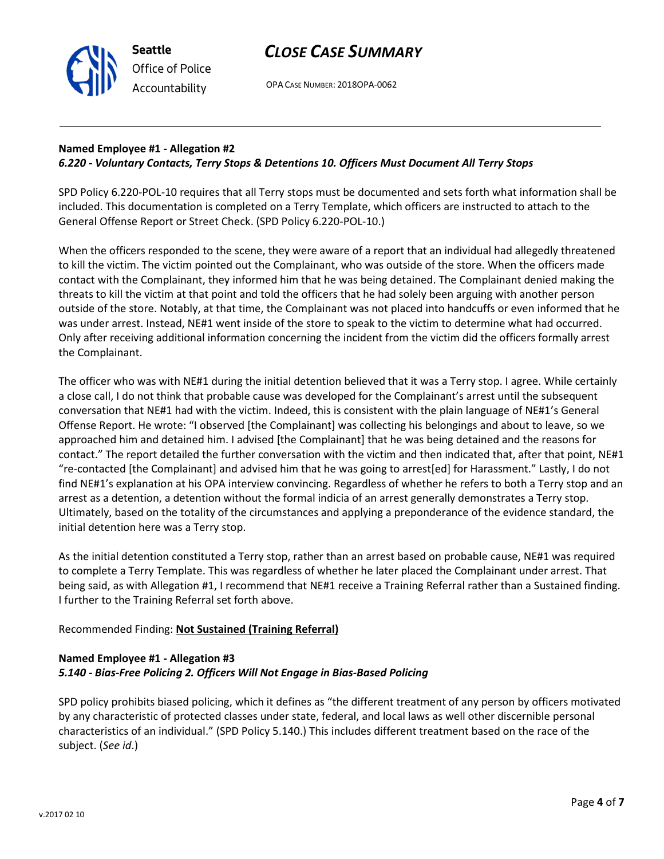## CLOSE CASE SUMMARY

OPA CASE NUMBER: 2018OPA-0062

#### Named Employee #1 - Allegation #2 6.220 - Voluntary Contacts, Terry Stops & Detentions 10. Officers Must Document All Terry Stops

SPD Policy 6.220-POL-10 requires that all Terry stops must be documented and sets forth what information shall be included. This documentation is completed on a Terry Template, which officers are instructed to attach to the General Offense Report or Street Check. (SPD Policy 6.220-POL-10.)

When the officers responded to the scene, they were aware of a report that an individual had allegedly threatened to kill the victim. The victim pointed out the Complainant, who was outside of the store. When the officers made contact with the Complainant, they informed him that he was being detained. The Complainant denied making the threats to kill the victim at that point and told the officers that he had solely been arguing with another person outside of the store. Notably, at that time, the Complainant was not placed into handcuffs or even informed that he was under arrest. Instead, NE#1 went inside of the store to speak to the victim to determine what had occurred. Only after receiving additional information concerning the incident from the victim did the officers formally arrest the Complainant.

The officer who was with NE#1 during the initial detention believed that it was a Terry stop. I agree. While certainly a close call, I do not think that probable cause was developed for the Complainant's arrest until the subsequent conversation that NE#1 had with the victim. Indeed, this is consistent with the plain language of NE#1's General Offense Report. He wrote: "I observed [the Complainant] was collecting his belongings and about to leave, so we approached him and detained him. I advised [the Complainant] that he was being detained and the reasons for contact." The report detailed the further conversation with the victim and then indicated that, after that point, NE#1 "re-contacted [the Complainant] and advised him that he was going to arrest[ed] for Harassment." Lastly, I do not find NE#1's explanation at his OPA interview convincing. Regardless of whether he refers to both a Terry stop and an arrest as a detention, a detention without the formal indicia of an arrest generally demonstrates a Terry stop. Ultimately, based on the totality of the circumstances and applying a preponderance of the evidence standard, the initial detention here was a Terry stop.

As the initial detention constituted a Terry stop, rather than an arrest based on probable cause, NE#1 was required to complete a Terry Template. This was regardless of whether he later placed the Complainant under arrest. That being said, as with Allegation #1, I recommend that NE#1 receive a Training Referral rather than a Sustained finding. I further to the Training Referral set forth above.

#### Recommended Finding: Not Sustained (Training Referral)

### Named Employee #1 - Allegation #3 5.140 - Bias-Free Policing 2. Officers Will Not Engage in Bias-Based Policing

SPD policy prohibits biased policing, which it defines as "the different treatment of any person by officers motivated by any characteristic of protected classes under state, federal, and local laws as well other discernible personal characteristics of an individual." (SPD Policy 5.140.) This includes different treatment based on the race of the subject. (See id.)



Seattle Office of Police Accountability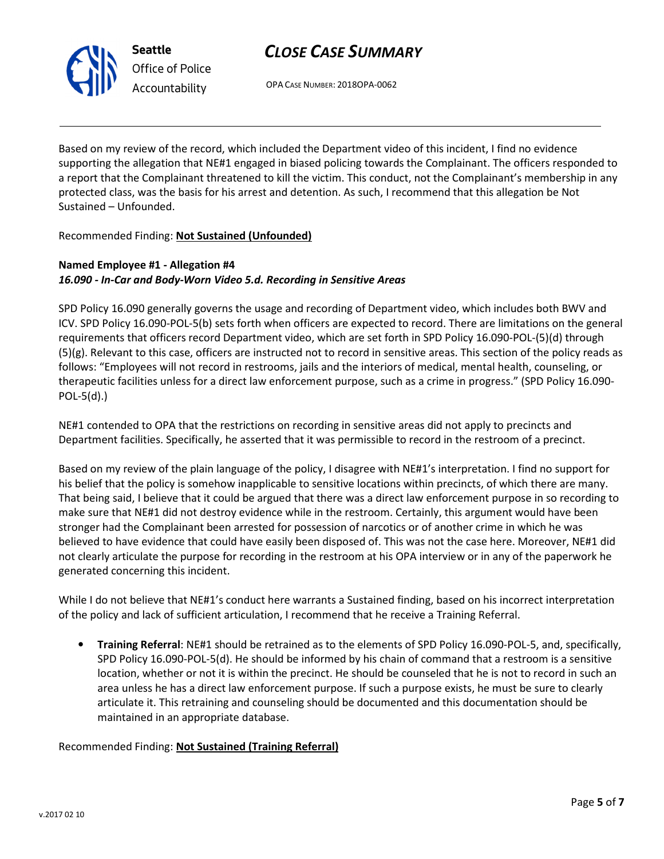

## CLOSE CASE SUMMARY

OPA CASE NUMBER: 2018OPA-0062

Based on my review of the record, which included the Department video of this incident, I find no evidence supporting the allegation that NE#1 engaged in biased policing towards the Complainant. The officers responded to a report that the Complainant threatened to kill the victim. This conduct, not the Complainant's membership in any protected class, was the basis for his arrest and detention. As such, I recommend that this allegation be Not Sustained – Unfounded.

Recommended Finding: Not Sustained (Unfounded)

#### Named Employee #1 - Allegation #4 16.090 - In-Car and Body-Worn Video 5.d. Recording in Sensitive Areas

SPD Policy 16.090 generally governs the usage and recording of Department video, which includes both BWV and ICV. SPD Policy 16.090-POL-5(b) sets forth when officers are expected to record. There are limitations on the general requirements that officers record Department video, which are set forth in SPD Policy 16.090-POL-(5)(d) through (5)(g). Relevant to this case, officers are instructed not to record in sensitive areas. This section of the policy reads as follows: "Employees will not record in restrooms, jails and the interiors of medical, mental health, counseling, or therapeutic facilities unless for a direct law enforcement purpose, such as a crime in progress." (SPD Policy 16.090- POL-5(d).)

NE#1 contended to OPA that the restrictions on recording in sensitive areas did not apply to precincts and Department facilities. Specifically, he asserted that it was permissible to record in the restroom of a precinct.

Based on my review of the plain language of the policy, I disagree with NE#1's interpretation. I find no support for his belief that the policy is somehow inapplicable to sensitive locations within precincts, of which there are many. That being said, I believe that it could be argued that there was a direct law enforcement purpose in so recording to make sure that NE#1 did not destroy evidence while in the restroom. Certainly, this argument would have been stronger had the Complainant been arrested for possession of narcotics or of another crime in which he was believed to have evidence that could have easily been disposed of. This was not the case here. Moreover, NE#1 did not clearly articulate the purpose for recording in the restroom at his OPA interview or in any of the paperwork he generated concerning this incident.

While I do not believe that NE#1's conduct here warrants a Sustained finding, based on his incorrect interpretation of the policy and lack of sufficient articulation, I recommend that he receive a Training Referral.

• Training Referral: NE#1 should be retrained as to the elements of SPD Policy 16.090-POL-5, and, specifically, SPD Policy 16.090-POL-5(d). He should be informed by his chain of command that a restroom is a sensitive location, whether or not it is within the precinct. He should be counseled that he is not to record in such an area unless he has a direct law enforcement purpose. If such a purpose exists, he must be sure to clearly articulate it. This retraining and counseling should be documented and this documentation should be maintained in an appropriate database.

#### Recommended Finding: Not Sustained (Training Referral)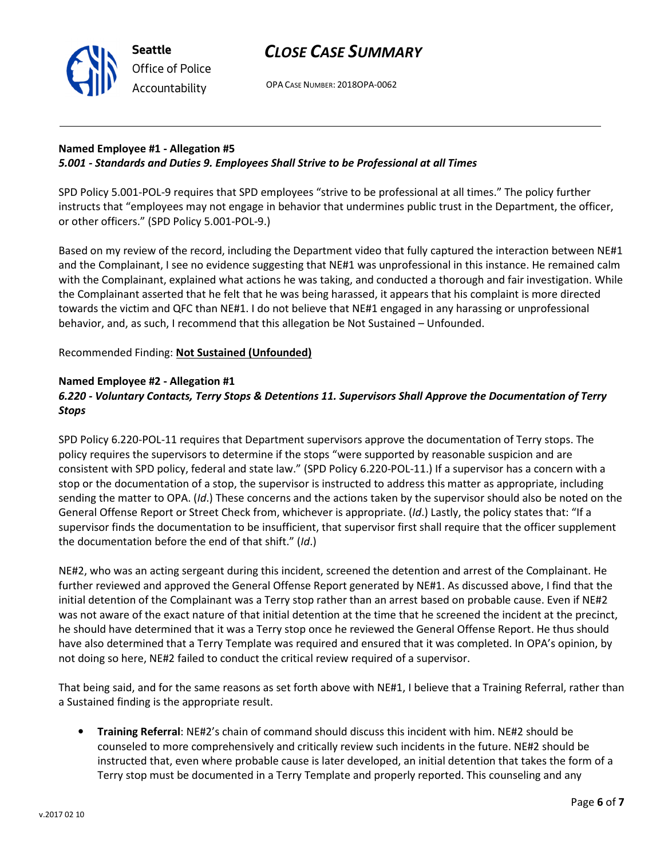

OPA CASE NUMBER: 2018OPA-0062

### Named Employee #1 - Allegation #5 5.001 - Standards and Duties 9. Employees Shall Strive to be Professional at all Times

SPD Policy 5.001-POL-9 requires that SPD employees "strive to be professional at all times." The policy further instructs that "employees may not engage in behavior that undermines public trust in the Department, the officer, or other officers." (SPD Policy 5.001-POL-9.)

Based on my review of the record, including the Department video that fully captured the interaction between NE#1 and the Complainant, I see no evidence suggesting that NE#1 was unprofessional in this instance. He remained calm with the Complainant, explained what actions he was taking, and conducted a thorough and fair investigation. While the Complainant asserted that he felt that he was being harassed, it appears that his complaint is more directed towards the victim and QFC than NE#1. I do not believe that NE#1 engaged in any harassing or unprofessional behavior, and, as such, I recommend that this allegation be Not Sustained – Unfounded.

### Recommended Finding: Not Sustained (Unfounded)

#### Named Employee #2 - Allegation #1 6.220 - Voluntary Contacts, Terry Stops & Detentions 11. Supervisors Shall Approve the Documentation of Terry Stops

SPD Policy 6.220-POL-11 requires that Department supervisors approve the documentation of Terry stops. The policy requires the supervisors to determine if the stops "were supported by reasonable suspicion and are consistent with SPD policy, federal and state law." (SPD Policy 6.220-POL-11.) If a supervisor has a concern with a stop or the documentation of a stop, the supervisor is instructed to address this matter as appropriate, including sending the matter to OPA. (Id.) These concerns and the actions taken by the supervisor should also be noted on the General Offense Report or Street Check from, whichever is appropriate. (Id.) Lastly, the policy states that: "If a supervisor finds the documentation to be insufficient, that supervisor first shall require that the officer supplement the documentation before the end of that shift." (Id.)

NE#2, who was an acting sergeant during this incident, screened the detention and arrest of the Complainant. He further reviewed and approved the General Offense Report generated by NE#1. As discussed above, I find that the initial detention of the Complainant was a Terry stop rather than an arrest based on probable cause. Even if NE#2 was not aware of the exact nature of that initial detention at the time that he screened the incident at the precinct, he should have determined that it was a Terry stop once he reviewed the General Offense Report. He thus should have also determined that a Terry Template was required and ensured that it was completed. In OPA's opinion, by not doing so here, NE#2 failed to conduct the critical review required of a supervisor.

That being said, and for the same reasons as set forth above with NE#1, I believe that a Training Referral, rather than a Sustained finding is the appropriate result.

• Training Referral: NE#2's chain of command should discuss this incident with him. NE#2 should be counseled to more comprehensively and critically review such incidents in the future. NE#2 should be instructed that, even where probable cause is later developed, an initial detention that takes the form of a Terry stop must be documented in a Terry Template and properly reported. This counseling and any